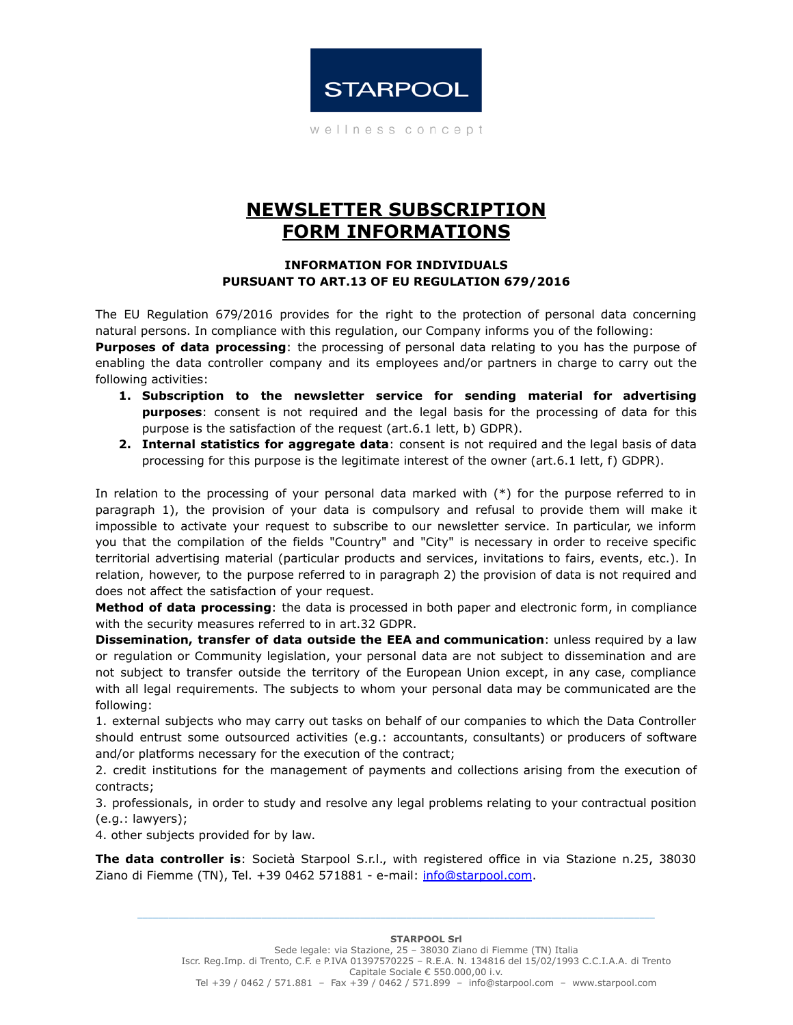

wellness concept

## **NEWSLETTER SUBSCRIPTION FORM INFORMATIONS**

## **INFORMATION FOR INDIVIDUALS PURSUANT TO ART.13 OF EU REGULATION 679/2016**

The EU Regulation 679/2016 provides for the right to the protection of personal data concerning natural persons. In compliance with this regulation, our Company informs you of the following:

**Purposes of data processing**: the processing of personal data relating to you has the purpose of enabling the data controller company and its employees and/or partners in charge to carry out the following activities:

- **1. Subscription to the newsletter service for sending material for advertising purposes**: consent is not required and the legal basis for the processing of data for this purpose is the satisfaction of the request (art.6.1 lett, b) GDPR).
- **2. Internal statistics for aggregate data**: consent is not required and the legal basis of data processing for this purpose is the legitimate interest of the owner (art.6.1 lett, f) GDPR).

In relation to the processing of your personal data marked with (\*) for the purpose referred to in paragraph 1), the provision of your data is compulsory and refusal to provide them will make it impossible to activate your request to subscribe to our newsletter service. In particular, we inform you that the compilation of the fields "Country" and "City" is necessary in order to receive specific territorial advertising material (particular products and services, invitations to fairs, events, etc.). In relation, however, to the purpose referred to in paragraph 2) the provision of data is not required and does not affect the satisfaction of your request.

**Method of data processing**: the data is processed in both paper and electronic form, in compliance with the security measures referred to in art.32 GDPR.

**Dissemination, transfer of data outside the EEA and communication**: unless required by a law or regulation or Community legislation, your personal data are not subject to dissemination and are not subject to transfer outside the territory of the European Union except, in any case, compliance with all legal requirements. The subjects to whom your personal data may be communicated are the following:

1. external subjects who may carry out tasks on behalf of our companies to which the Data Controller should entrust some outsourced activities (e.g.: accountants, consultants) or producers of software and/or platforms necessary for the execution of the contract;

2. credit institutions for the management of payments and collections arising from the execution of contracts;

3. professionals, in order to study and resolve any legal problems relating to your contractual position (e.g.: lawyers);

4. other subjects provided for by law.

**The data controller is**: Società Starpool S.r.l., with registered office in via Stazione n.25, 38030 Ziano di Fiemme (TN), Tel. +39 0462 571881 - e-mail: [info@starpool.com](mailto:info@starpool.com).

\_\_\_\_\_\_\_\_\_\_\_\_\_\_\_\_\_\_\_\_\_\_\_\_\_\_\_\_\_\_\_\_\_\_\_\_\_\_\_\_\_\_\_\_\_\_\_\_\_\_\_\_\_\_\_\_\_\_\_\_\_\_\_\_\_\_\_\_\_\_\_\_\_\_\_\_\_\_\_\_\_\_\_\_\_\_\_\_\_\_\_\_\_\_\_\_\_\_\_\_